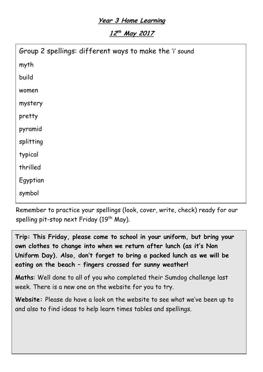## **Year 3 Home Learning**

**12 th May <sup>2017</sup>**

| Group 2 spellings: different ways to make the 'i' sound |
|---------------------------------------------------------|
| myth                                                    |
| build                                                   |
| women                                                   |
| mystery                                                 |
| pretty                                                  |
| pyramid                                                 |
| splitting                                               |
| typical                                                 |
| thrilled                                                |
| Egyptian                                                |
| symbol                                                  |
|                                                         |

Remember to practice your spellings (look, cover, write, check) ready for our spelling pit-stop next Friday ( $19<sup>th</sup>$  May).

**Trip: This Friday, please come to school in your uniform, but bring your own clothes to change into when we return after lunch (as it's Non Uniform Day). Also, don't forget to bring a packed lunch as we will be eating on the beach – fingers crossed for sunny weather!**

**Maths**: Well done to all of you who completed their Sumdog challenge last week. There is a new one on the website for you to try.

**Website:** Please do have a look on the website to see what we've been up to and also to find ideas to help learn times tables and spellings.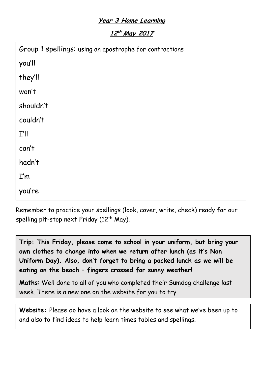## **Year 3 Home Learning**

**12 th May <sup>2017</sup>**

| Group 1 spellings: using an apostrophe for contractions |  |
|---------------------------------------------------------|--|
| you'll                                                  |  |
| they'll                                                 |  |
| won't                                                   |  |
| shouldn't                                               |  |
| couldn't                                                |  |
| I'll                                                    |  |
| can't                                                   |  |
| hadn't                                                  |  |
| I'm                                                     |  |
| you're                                                  |  |

Remember to practice your spellings (look, cover, write, check) ready for our spelling pit-stop next Friday ( $12<sup>th</sup>$  May).

**Trip: This Friday, please come to school in your uniform, but bring your own clothes to change into when we return after lunch (as it's Non Uniform Day). Also, don't forget to bring a packed lunch as we will be eating on the beach – fingers crossed for sunny weather!**

**Maths**: Well done to all of you who completed their Sumdog challenge last week. There is a new one on the website for you to try.

**Website:** Please do have a look on the website to see what we've been up to and also to find ideas to help learn times tables and spellings.